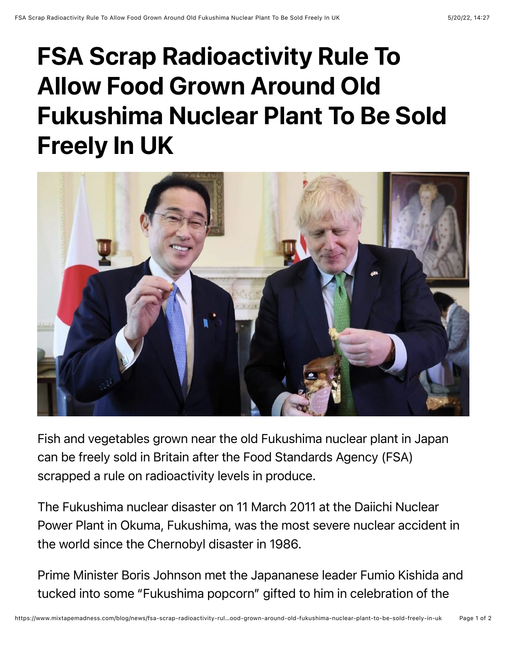## FSA Scrap Radioactivity Rule To Allow Food Grown Around Old Fukushima Nuclear Plant To Be Sold Freely In UK



Fish and vegetables grown near the old Fukushima nuclear plant in Japan can be freely sold in Britain after the Food Standards Agency (FSA) scrapped a rule on radioactivity levels in produce.

The Fukushima nuclear disaster on 11 March 2011 at the Daiichi Nuclear Power Plant in Okuma, Fukushima, was the most severe nuclear accident in the world since the Chernobyl disaster in 1986.

Prime Minister Boris Johnson met the Japananese leader Fumio Kishida and tucked into some "Fukushima popcorn" gifted to him in celebration of the